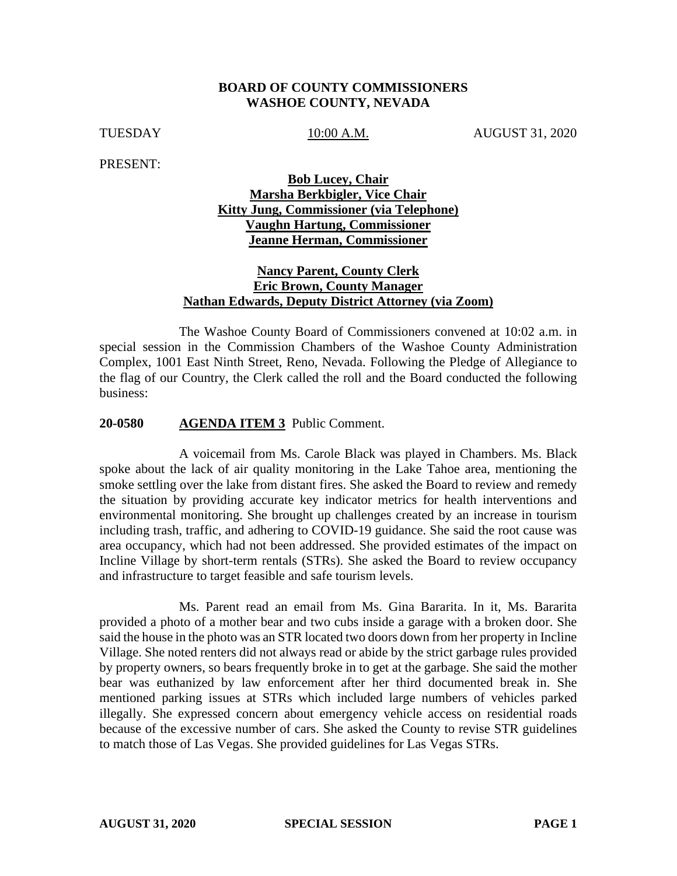### **BOARD OF COUNTY COMMISSIONERS WASHOE COUNTY, NEVADA**

TUESDAY 10:00 A.M. AUGUST 31, 2020

PRESENT:

## **Bob Lucey, Chair Marsha Berkbigler, Vice Chair Kitty Jung, Commissioner (via Telephone) Vaughn Hartung, Commissioner Jeanne Herman, Commissioner**

## **Nancy Parent, County Clerk Eric Brown, County Manager Nathan Edwards, Deputy District Attorney (via Zoom)**

The Washoe County Board of Commissioners convened at 10:02 a.m. in special session in the Commission Chambers of the Washoe County Administration Complex, 1001 East Ninth Street, Reno, Nevada. Following the Pledge of Allegiance to the flag of our Country, the Clerk called the roll and the Board conducted the following business:

#### **20-0580 AGENDA ITEM 3** Public Comment.

A voicemail from Ms. Carole Black was played in Chambers. Ms. Black spoke about the lack of air quality monitoring in the Lake Tahoe area, mentioning the smoke settling over the lake from distant fires. She asked the Board to review and remedy the situation by providing accurate key indicator metrics for health interventions and environmental monitoring. She brought up challenges created by an increase in tourism including trash, traffic, and adhering to COVID-19 guidance. She said the root cause was area occupancy, which had not been addressed. She provided estimates of the impact on Incline Village by short-term rentals (STRs). She asked the Board to review occupancy and infrastructure to target feasible and safe tourism levels.

Ms. Parent read an email from Ms. Gina Bararita. In it, Ms. Bararita provided a photo of a mother bear and two cubs inside a garage with a broken door. She said the house in the photo was an STR located two doors down from her property in Incline Village. She noted renters did not always read or abide by the strict garbage rules provided by property owners, so bears frequently broke in to get at the garbage. She said the mother bear was euthanized by law enforcement after her third documented break in. She mentioned parking issues at STRs which included large numbers of vehicles parked illegally. She expressed concern about emergency vehicle access on residential roads because of the excessive number of cars. She asked the County to revise STR guidelines to match those of Las Vegas. She provided guidelines for Las Vegas STRs.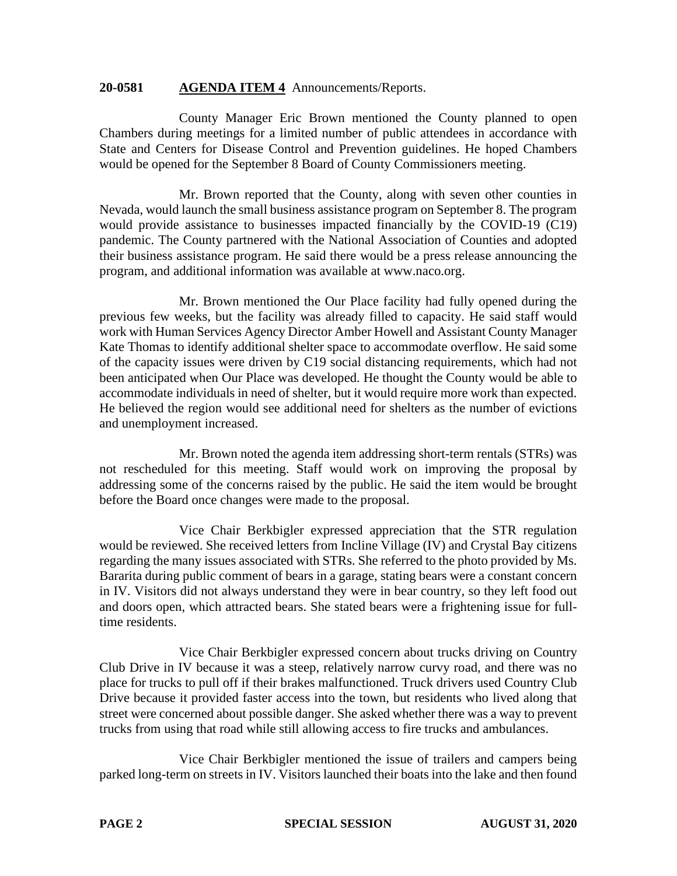#### **20-0581 AGENDA ITEM 4** Announcements/Reports.

County Manager Eric Brown mentioned the County planned to open Chambers during meetings for a limited number of public attendees in accordance with State and Centers for Disease Control and Prevention guidelines. He hoped Chambers would be opened for the September 8 Board of County Commissioners meeting.

Mr. Brown reported that the County, along with seven other counties in Nevada, would launch the small business assistance program on September 8. The program would provide assistance to businesses impacted financially by the COVID-19 (C19) pandemic. The County partnered with the National Association of Counties and adopted their business assistance program. He said there would be a press release announcing the program, and additional information was available at www.naco.org.

Mr. Brown mentioned the Our Place facility had fully opened during the previous few weeks, but the facility was already filled to capacity. He said staff would work with Human Services Agency Director Amber Howell and Assistant County Manager Kate Thomas to identify additional shelter space to accommodate overflow. He said some of the capacity issues were driven by C19 social distancing requirements, which had not been anticipated when Our Place was developed. He thought the County would be able to accommodate individuals in need of shelter, but it would require more work than expected. He believed the region would see additional need for shelters as the number of evictions and unemployment increased.

Mr. Brown noted the agenda item addressing short-term rentals (STRs) was not rescheduled for this meeting. Staff would work on improving the proposal by addressing some of the concerns raised by the public. He said the item would be brought before the Board once changes were made to the proposal.

Vice Chair Berkbigler expressed appreciation that the STR regulation would be reviewed. She received letters from Incline Village (IV) and Crystal Bay citizens regarding the many issues associated with STRs. She referred to the photo provided by Ms. Bararita during public comment of bears in a garage, stating bears were a constant concern in IV. Visitors did not always understand they were in bear country, so they left food out and doors open, which attracted bears. She stated bears were a frightening issue for fulltime residents.

Vice Chair Berkbigler expressed concern about trucks driving on Country Club Drive in IV because it was a steep, relatively narrow curvy road, and there was no place for trucks to pull off if their brakes malfunctioned. Truck drivers used Country Club Drive because it provided faster access into the town, but residents who lived along that street were concerned about possible danger. She asked whether there was a way to prevent trucks from using that road while still allowing access to fire trucks and ambulances.

Vice Chair Berkbigler mentioned the issue of trailers and campers being parked long-term on streets in IV. Visitors launched their boats into the lake and then found

**PAGE 2 SPECIAL SESSION AUGUST 31, 2020**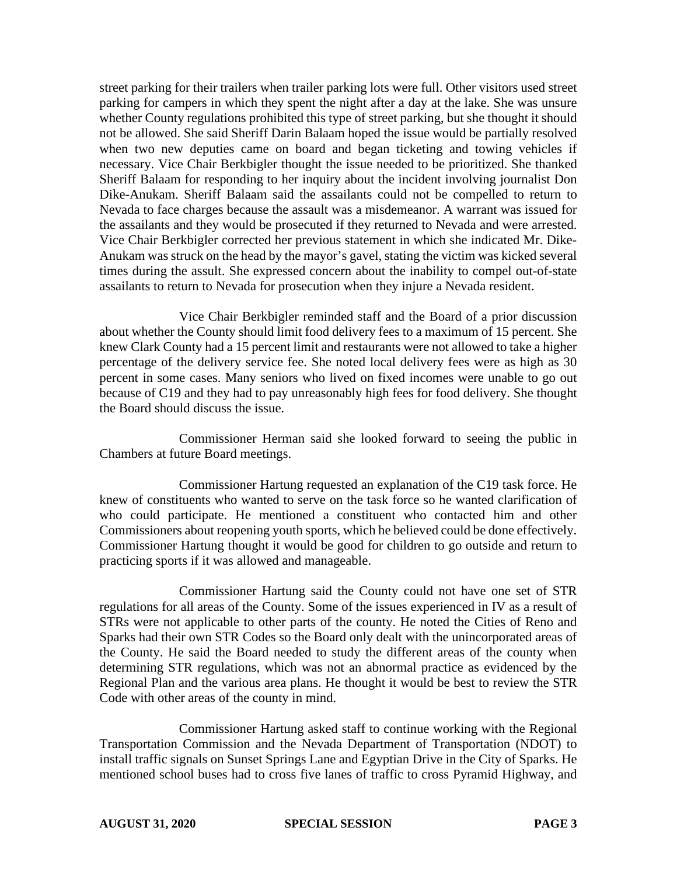street parking for their trailers when trailer parking lots were full. Other visitors used street parking for campers in which they spent the night after a day at the lake. She was unsure whether County regulations prohibited this type of street parking, but she thought it should not be allowed. She said Sheriff Darin Balaam hoped the issue would be partially resolved when two new deputies came on board and began ticketing and towing vehicles if necessary. Vice Chair Berkbigler thought the issue needed to be prioritized. She thanked Sheriff Balaam for responding to her inquiry about the incident involving journalist Don Dike-Anukam. Sheriff Balaam said the assailants could not be compelled to return to Nevada to face charges because the assault was a misdemeanor. A warrant was issued for the assailants and they would be prosecuted if they returned to Nevada and were arrested. Vice Chair Berkbigler corrected her previous statement in which she indicated Mr. Dike-Anukam was struck on the head by the mayor's gavel, stating the victim was kicked several times during the assult. She expressed concern about the inability to compel out-of-state assailants to return to Nevada for prosecution when they injure a Nevada resident.

Vice Chair Berkbigler reminded staff and the Board of a prior discussion about whether the County should limit food delivery fees to a maximum of 15 percent. She knew Clark County had a 15 percent limit and restaurants were not allowed to take a higher percentage of the delivery service fee. She noted local delivery fees were as high as 30 percent in some cases. Many seniors who lived on fixed incomes were unable to go out because of C19 and they had to pay unreasonably high fees for food delivery. She thought the Board should discuss the issue.

Commissioner Herman said she looked forward to seeing the public in Chambers at future Board meetings.

Commissioner Hartung requested an explanation of the C19 task force. He knew of constituents who wanted to serve on the task force so he wanted clarification of who could participate. He mentioned a constituent who contacted him and other Commissioners about reopening youth sports, which he believed could be done effectively. Commissioner Hartung thought it would be good for children to go outside and return to practicing sports if it was allowed and manageable.

Commissioner Hartung said the County could not have one set of STR regulations for all areas of the County. Some of the issues experienced in IV as a result of STRs were not applicable to other parts of the county. He noted the Cities of Reno and Sparks had their own STR Codes so the Board only dealt with the unincorporated areas of the County. He said the Board needed to study the different areas of the county when determining STR regulations, which was not an abnormal practice as evidenced by the Regional Plan and the various area plans. He thought it would be best to review the STR Code with other areas of the county in mind.

Commissioner Hartung asked staff to continue working with the Regional Transportation Commission and the Nevada Department of Transportation (NDOT) to install traffic signals on Sunset Springs Lane and Egyptian Drive in the City of Sparks. He mentioned school buses had to cross five lanes of traffic to cross Pyramid Highway, and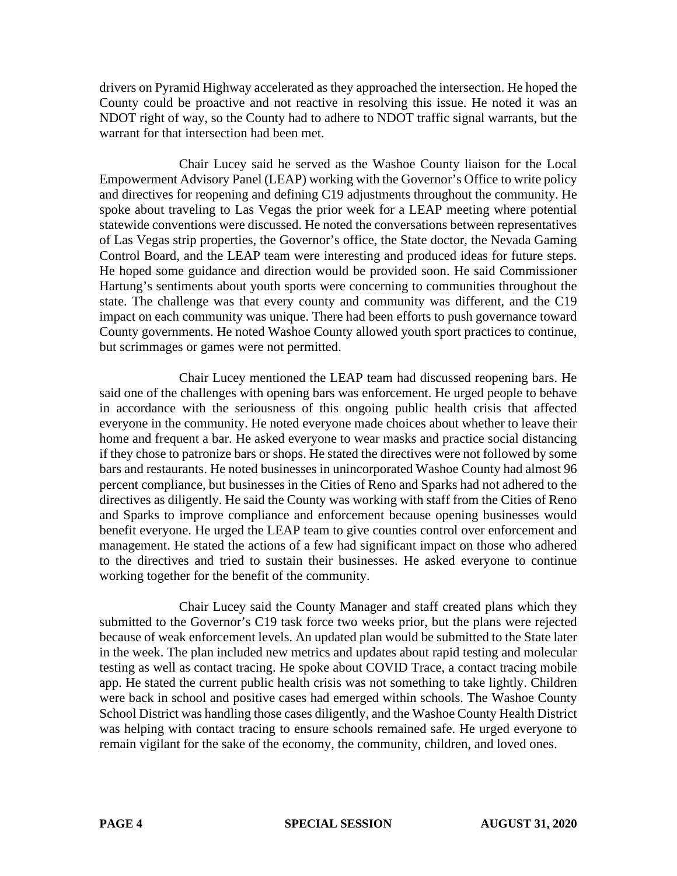drivers on Pyramid Highway accelerated as they approached the intersection. He hoped the County could be proactive and not reactive in resolving this issue. He noted it was an NDOT right of way, so the County had to adhere to NDOT traffic signal warrants, but the warrant for that intersection had been met.

Chair Lucey said he served as the Washoe County liaison for the Local Empowerment Advisory Panel (LEAP) working with the Governor's Office to write policy and directives for reopening and defining C19 adjustments throughout the community. He spoke about traveling to Las Vegas the prior week for a LEAP meeting where potential statewide conventions were discussed. He noted the conversations between representatives of Las Vegas strip properties, the Governor's office, the State doctor, the Nevada Gaming Control Board, and the LEAP team were interesting and produced ideas for future steps. He hoped some guidance and direction would be provided soon. He said Commissioner Hartung's sentiments about youth sports were concerning to communities throughout the state. The challenge was that every county and community was different, and the C19 impact on each community was unique. There had been efforts to push governance toward County governments. He noted Washoe County allowed youth sport practices to continue, but scrimmages or games were not permitted.

Chair Lucey mentioned the LEAP team had discussed reopening bars. He said one of the challenges with opening bars was enforcement. He urged people to behave in accordance with the seriousness of this ongoing public health crisis that affected everyone in the community. He noted everyone made choices about whether to leave their home and frequent a bar. He asked everyone to wear masks and practice social distancing if they chose to patronize bars or shops. He stated the directives were not followed by some bars and restaurants. He noted businesses in unincorporated Washoe County had almost 96 percent compliance, but businesses in the Cities of Reno and Sparks had not adhered to the directives as diligently. He said the County was working with staff from the Cities of Reno and Sparks to improve compliance and enforcement because opening businesses would benefit everyone. He urged the LEAP team to give counties control over enforcement and management. He stated the actions of a few had significant impact on those who adhered to the directives and tried to sustain their businesses. He asked everyone to continue working together for the benefit of the community.

Chair Lucey said the County Manager and staff created plans which they submitted to the Governor's C19 task force two weeks prior, but the plans were rejected because of weak enforcement levels. An updated plan would be submitted to the State later in the week. The plan included new metrics and updates about rapid testing and molecular testing as well as contact tracing. He spoke about COVID Trace, a contact tracing mobile app. He stated the current public health crisis was not something to take lightly. Children were back in school and positive cases had emerged within schools. The Washoe County School District was handling those cases diligently, and the Washoe County Health District was helping with contact tracing to ensure schools remained safe. He urged everyone to remain vigilant for the sake of the economy, the community, children, and loved ones.

**PAGE 4 SPECIAL SESSION AUGUST 31, 2020**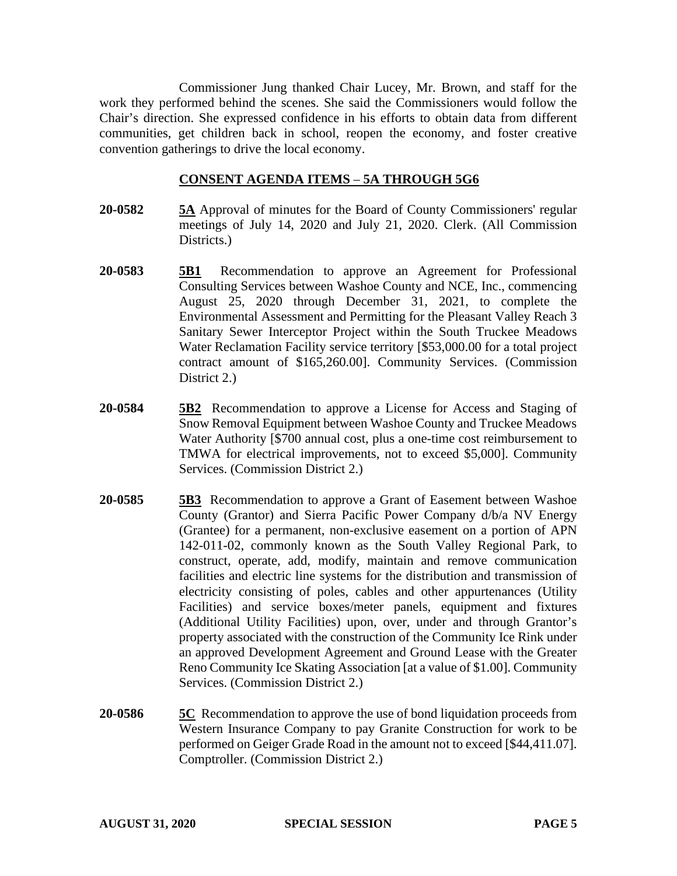Commissioner Jung thanked Chair Lucey, Mr. Brown, and staff for the work they performed behind the scenes. She said the Commissioners would follow the Chair's direction. She expressed confidence in his efforts to obtain data from different communities, get children back in school, reopen the economy, and foster creative convention gatherings to drive the local economy.

### **CONSENT AGENDA ITEMS** – **5A THROUGH 5G6**

- **20-0582 5A** Approval of minutes for the Board of County Commissioners' regular meetings of July 14, 2020 and July 21, 2020. Clerk. (All Commission Districts.
- **20-0583 5B1** Recommendation to approve an Agreement for Professional Consulting Services between Washoe County and NCE, Inc., commencing August 25, 2020 through December 31, 2021, to complete the Environmental Assessment and Permitting for the Pleasant Valley Reach 3 Sanitary Sewer Interceptor Project within the South Truckee Meadows Water Reclamation Facility service territory [\$53,000.00 for a total project contract amount of \$165,260.00]. Community Services. (Commission District 2.)
- **20-0584 5B2** Recommendation to approve a License for Access and Staging of Snow Removal Equipment between Washoe County and Truckee Meadows Water Authority [\$700 annual cost, plus a one-time cost reimbursement to TMWA for electrical improvements, not to exceed \$5,000]. Community Services. (Commission District 2.)
- **20-0585 5B3** Recommendation to approve a Grant of Easement between Washoe County (Grantor) and Sierra Pacific Power Company d/b/a NV Energy (Grantee) for a permanent, non-exclusive easement on a portion of APN 142-011-02, commonly known as the South Valley Regional Park, to construct, operate, add, modify, maintain and remove communication facilities and electric line systems for the distribution and transmission of electricity consisting of poles, cables and other appurtenances (Utility Facilities) and service boxes/meter panels, equipment and fixtures (Additional Utility Facilities) upon, over, under and through Grantor's property associated with the construction of the Community Ice Rink under an approved Development Agreement and Ground Lease with the Greater Reno Community Ice Skating Association [at a value of \$1.00]. Community Services. (Commission District 2.)
- **20-0586 5C** Recommendation to approve the use of bond liquidation proceeds from Western Insurance Company to pay Granite Construction for work to be performed on Geiger Grade Road in the amount not to exceed [\$44,411.07]. Comptroller. (Commission District 2.)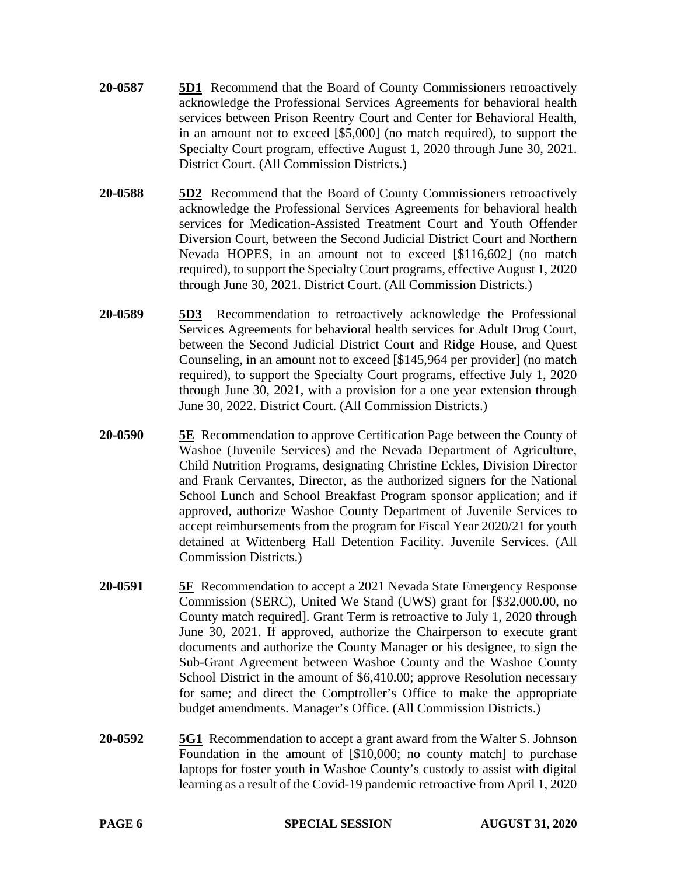- **20-0587 5D1** Recommend that the Board of County Commissioners retroactively acknowledge the Professional Services Agreements for behavioral health services between Prison Reentry Court and Center for Behavioral Health, in an amount not to exceed [\$5,000] (no match required), to support the Specialty Court program, effective August 1, 2020 through June 30, 2021. District Court. (All Commission Districts.)
- **20-0588 5D2** Recommend that the Board of County Commissioners retroactively acknowledge the Professional Services Agreements for behavioral health services for Medication-Assisted Treatment Court and Youth Offender Diversion Court, between the Second Judicial District Court and Northern Nevada HOPES, in an amount not to exceed [\$116,602] (no match required), to support the Specialty Court programs, effective August 1, 2020 through June 30, 2021. District Court. (All Commission Districts.)
- **20-0589 5D3** Recommendation to retroactively acknowledge the Professional Services Agreements for behavioral health services for Adult Drug Court, between the Second Judicial District Court and Ridge House, and Quest Counseling, in an amount not to exceed [\$145,964 per provider] (no match required), to support the Specialty Court programs, effective July 1, 2020 through June 30, 2021, with a provision for a one year extension through June 30, 2022. District Court. (All Commission Districts.)
- **20-0590 5E** Recommendation to approve Certification Page between the County of Washoe (Juvenile Services) and the Nevada Department of Agriculture, Child Nutrition Programs, designating Christine Eckles, Division Director and Frank Cervantes, Director, as the authorized signers for the National School Lunch and School Breakfast Program sponsor application; and if approved, authorize Washoe County Department of Juvenile Services to accept reimbursements from the program for Fiscal Year 2020/21 for youth detained at Wittenberg Hall Detention Facility. Juvenile Services. (All Commission Districts.)
- **20-0591 5F** Recommendation to accept a 2021 Nevada State Emergency Response Commission (SERC), United We Stand (UWS) grant for [\$32,000.00, no County match required]. Grant Term is retroactive to July 1, 2020 through June 30, 2021. If approved, authorize the Chairperson to execute grant documents and authorize the County Manager or his designee, to sign the Sub-Grant Agreement between Washoe County and the Washoe County School District in the amount of \$6,410.00; approve Resolution necessary for same; and direct the Comptroller's Office to make the appropriate budget amendments. Manager's Office. (All Commission Districts.)
- **20-0592 5G1** Recommendation to accept a grant award from the Walter S. Johnson Foundation in the amount of [\$10,000; no county match] to purchase laptops for foster youth in Washoe County's custody to assist with digital learning as a result of the Covid-19 pandemic retroactive from April 1, 2020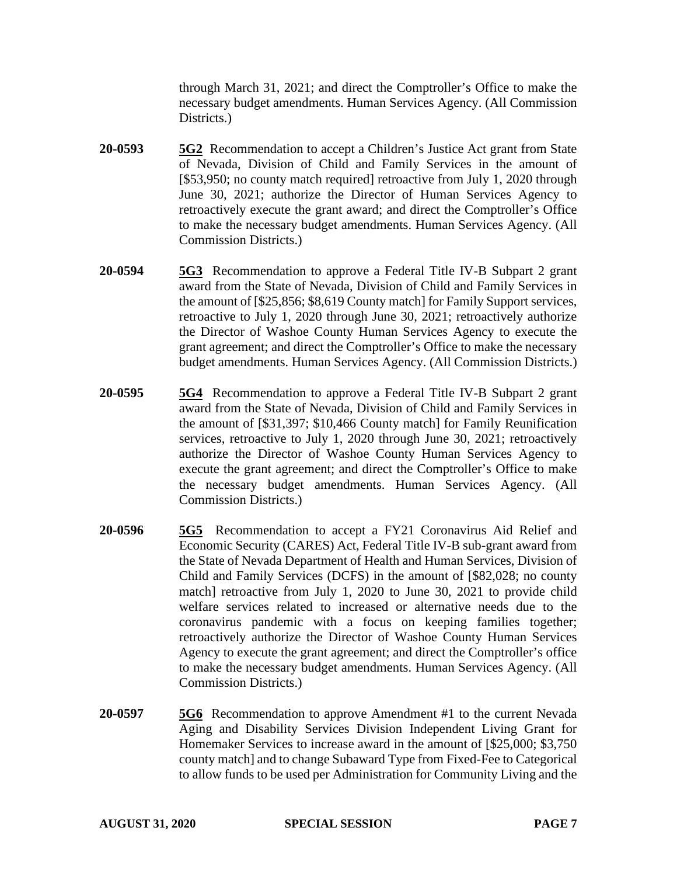through March 31, 2021; and direct the Comptroller's Office to make the necessary budget amendments. Human Services Agency. (All Commission Districts.)

- **20-0593 5G2** Recommendation to accept a Children's Justice Act grant from State of Nevada, Division of Child and Family Services in the amount of [\$53,950; no county match required] retroactive from July 1, 2020 through June 30, 2021; authorize the Director of Human Services Agency to retroactively execute the grant award; and direct the Comptroller's Office to make the necessary budget amendments. Human Services Agency. (All Commission Districts.)
- **20-0594 5G3** Recommendation to approve a Federal Title IV-B Subpart 2 grant award from the State of Nevada, Division of Child and Family Services in the amount of [\$25,856; \$8,619 County match] for Family Support services, retroactive to July 1, 2020 through June 30, 2021; retroactively authorize the Director of Washoe County Human Services Agency to execute the grant agreement; and direct the Comptroller's Office to make the necessary budget amendments. Human Services Agency. (All Commission Districts.)
- **20-0595 5G4** Recommendation to approve a Federal Title IV-B Subpart 2 grant award from the State of Nevada, Division of Child and Family Services in the amount of [\$31,397; \$10,466 County match] for Family Reunification services, retroactive to July 1, 2020 through June 30, 2021; retroactively authorize the Director of Washoe County Human Services Agency to execute the grant agreement; and direct the Comptroller's Office to make the necessary budget amendments. Human Services Agency. (All Commission Districts.)
- **20-0596 5G5** Recommendation to accept a FY21 Coronavirus Aid Relief and Economic Security (CARES) Act, Federal Title IV-B sub-grant award from the State of Nevada Department of Health and Human Services, Division of Child and Family Services (DCFS) in the amount of [\$82,028; no county match] retroactive from July 1, 2020 to June 30, 2021 to provide child welfare services related to increased or alternative needs due to the coronavirus pandemic with a focus on keeping families together; retroactively authorize the Director of Washoe County Human Services Agency to execute the grant agreement; and direct the Comptroller's office to make the necessary budget amendments. Human Services Agency. (All Commission Districts.)
- **20-0597 5G6** Recommendation to approve Amendment #1 to the current Nevada Aging and Disability Services Division Independent Living Grant for Homemaker Services to increase award in the amount of [\$25,000; \$3,750 county match] and to change Subaward Type from Fixed-Fee to Categorical to allow funds to be used per Administration for Community Living and the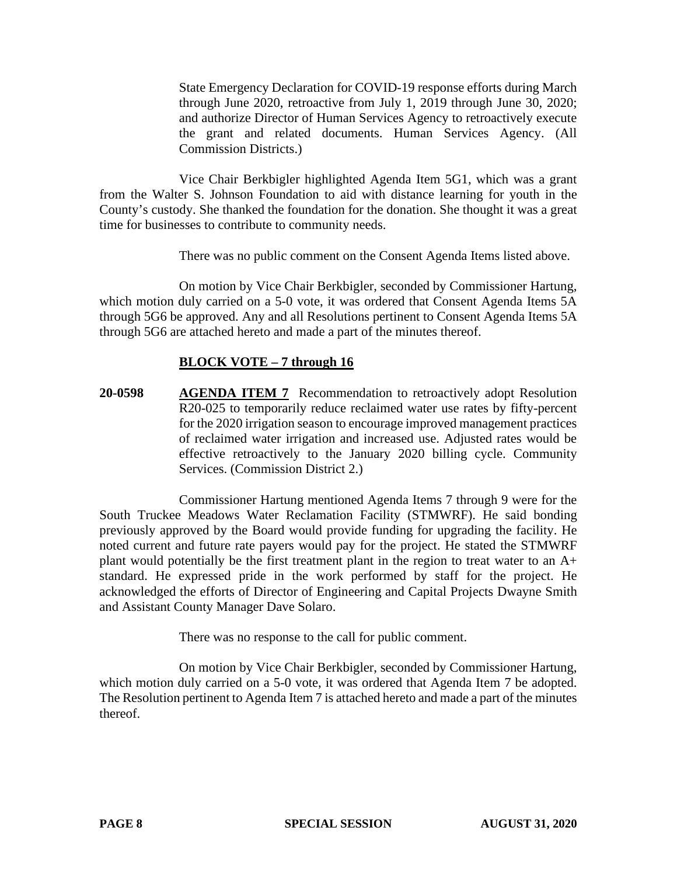State Emergency Declaration for COVID-19 response efforts during March through June 2020, retroactive from July 1, 2019 through June 30, 2020; and authorize Director of Human Services Agency to retroactively execute the grant and related documents. Human Services Agency. (All Commission Districts.)

Vice Chair Berkbigler highlighted Agenda Item 5G1, which was a grant from the Walter S. Johnson Foundation to aid with distance learning for youth in the County's custody. She thanked the foundation for the donation. She thought it was a great time for businesses to contribute to community needs.

There was no public comment on the Consent Agenda Items listed above.

On motion by Vice Chair Berkbigler, seconded by Commissioner Hartung, which motion duly carried on a 5-0 vote, it was ordered that Consent Agenda Items 5A through 5G6 be approved. Any and all Resolutions pertinent to Consent Agenda Items 5A through 5G6 are attached hereto and made a part of the minutes thereof.

# **BLOCK VOTE – 7 through 16**

**20-0598 AGENDA ITEM 7** Recommendation to retroactively adopt Resolution R20-025 to temporarily reduce reclaimed water use rates by fifty-percent for the 2020 irrigation season to encourage improved management practices of reclaimed water irrigation and increased use. Adjusted rates would be effective retroactively to the January 2020 billing cycle. Community Services. (Commission District 2.)

Commissioner Hartung mentioned Agenda Items 7 through 9 were for the South Truckee Meadows Water Reclamation Facility (STMWRF). He said bonding previously approved by the Board would provide funding for upgrading the facility. He noted current and future rate payers would pay for the project. He stated the STMWRF plant would potentially be the first treatment plant in the region to treat water to an A+ standard. He expressed pride in the work performed by staff for the project. He acknowledged the efforts of Director of Engineering and Capital Projects Dwayne Smith and Assistant County Manager Dave Solaro.

There was no response to the call for public comment.

On motion by Vice Chair Berkbigler, seconded by Commissioner Hartung, which motion duly carried on a 5-0 vote, it was ordered that Agenda Item 7 be adopted. The Resolution pertinent to Agenda Item 7 is attached hereto and made a part of the minutes thereof.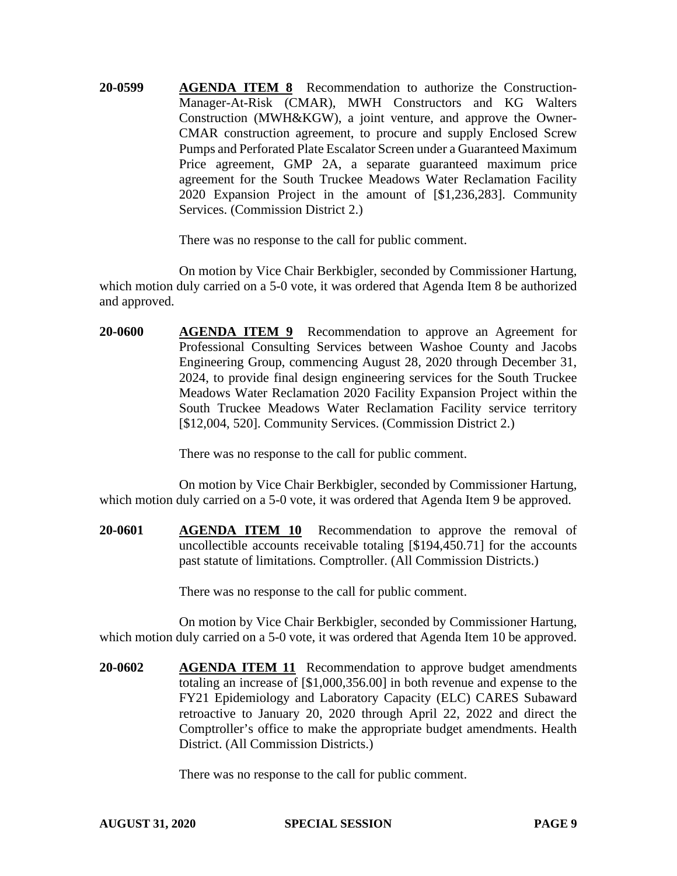**20-0599 AGENDA ITEM 8** Recommendation to authorize the Construction-Manager-At-Risk (CMAR), MWH Constructors and KG Walters Construction (MWH&KGW), a joint venture, and approve the Owner-CMAR construction agreement, to procure and supply Enclosed Screw Pumps and Perforated Plate Escalator Screen under a Guaranteed Maximum Price agreement, GMP 2A, a separate guaranteed maximum price agreement for the South Truckee Meadows Water Reclamation Facility 2020 Expansion Project in the amount of [\$1,236,283]. Community Services. (Commission District 2.)

There was no response to the call for public comment.

On motion by Vice Chair Berkbigler, seconded by Commissioner Hartung, which motion duly carried on a 5-0 vote, it was ordered that Agenda Item 8 be authorized and approved.

**20-0600 AGENDA ITEM 9** Recommendation to approve an Agreement for Professional Consulting Services between Washoe County and Jacobs Engineering Group, commencing August 28, 2020 through December 31, 2024, to provide final design engineering services for the South Truckee Meadows Water Reclamation 2020 Facility Expansion Project within the South Truckee Meadows Water Reclamation Facility service territory [\$12,004, 520]. Community Services. (Commission District 2.)

There was no response to the call for public comment.

On motion by Vice Chair Berkbigler, seconded by Commissioner Hartung, which motion duly carried on a 5-0 vote, it was ordered that Agenda Item 9 be approved.

**20-0601 AGENDA ITEM 10** Recommendation to approve the removal of uncollectible accounts receivable totaling [\$194,450.71] for the accounts past statute of limitations. Comptroller. (All Commission Districts.)

There was no response to the call for public comment.

On motion by Vice Chair Berkbigler, seconded by Commissioner Hartung, which motion duly carried on a 5-0 vote, it was ordered that Agenda Item 10 be approved.

**20-0602 AGENDA ITEM 11** Recommendation to approve budget amendments totaling an increase of [\$1,000,356.00] in both revenue and expense to the FY21 Epidemiology and Laboratory Capacity (ELC) CARES Subaward retroactive to January 20, 2020 through April 22, 2022 and direct the Comptroller's office to make the appropriate budget amendments. Health District. (All Commission Districts.)

There was no response to the call for public comment.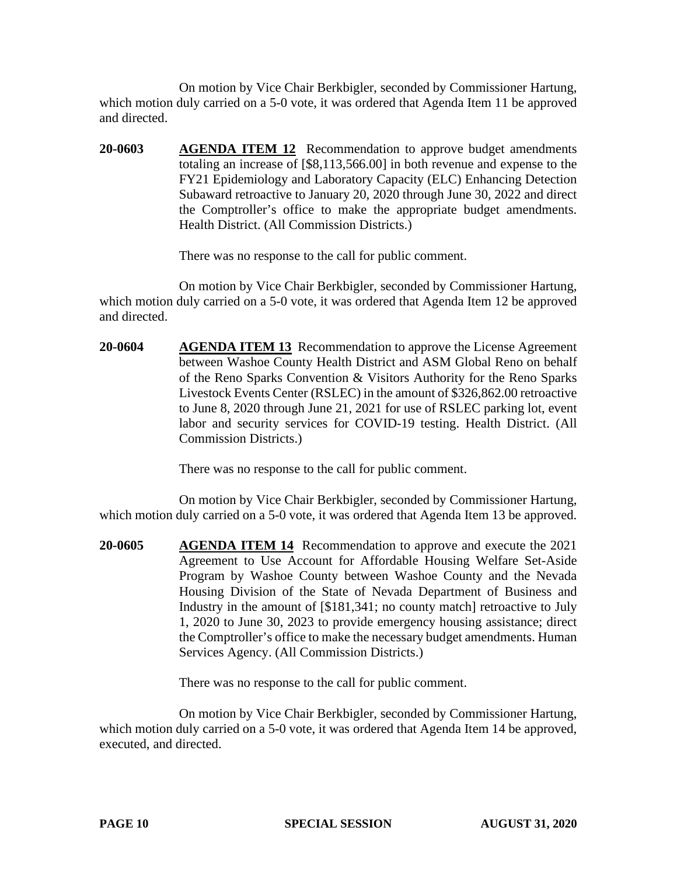On motion by Vice Chair Berkbigler, seconded by Commissioner Hartung, which motion duly carried on a 5-0 vote, it was ordered that Agenda Item 11 be approved and directed.

**20-0603 AGENDA ITEM 12** Recommendation to approve budget amendments totaling an increase of [\$8,113,566.00] in both revenue and expense to the FY21 Epidemiology and Laboratory Capacity (ELC) Enhancing Detection Subaward retroactive to January 20, 2020 through June 30, 2022 and direct the Comptroller's office to make the appropriate budget amendments. Health District. (All Commission Districts.)

There was no response to the call for public comment.

On motion by Vice Chair Berkbigler, seconded by Commissioner Hartung, which motion duly carried on a 5-0 vote, it was ordered that Agenda Item 12 be approved and directed.

**20-0604 AGENDA ITEM 13** Recommendation to approve the License Agreement between Washoe County Health District and ASM Global Reno on behalf of the Reno Sparks Convention & Visitors Authority for the Reno Sparks Livestock Events Center (RSLEC) in the amount of \$326,862.00 retroactive to June 8, 2020 through June 21, 2021 for use of RSLEC parking lot, event labor and security services for COVID-19 testing. Health District. (All Commission Districts.)

There was no response to the call for public comment.

On motion by Vice Chair Berkbigler, seconded by Commissioner Hartung, which motion duly carried on a 5-0 vote, it was ordered that Agenda Item 13 be approved.

**20-0605 AGENDA ITEM 14** Recommendation to approve and execute the 2021 Agreement to Use Account for Affordable Housing Welfare Set-Aside Program by Washoe County between Washoe County and the Nevada Housing Division of the State of Nevada Department of Business and Industry in the amount of [\$181,341; no county match] retroactive to July 1, 2020 to June 30, 2023 to provide emergency housing assistance; direct the Comptroller's office to make the necessary budget amendments. Human Services Agency. (All Commission Districts.)

There was no response to the call for public comment.

On motion by Vice Chair Berkbigler, seconded by Commissioner Hartung, which motion duly carried on a 5-0 vote, it was ordered that Agenda Item 14 be approved, executed, and directed.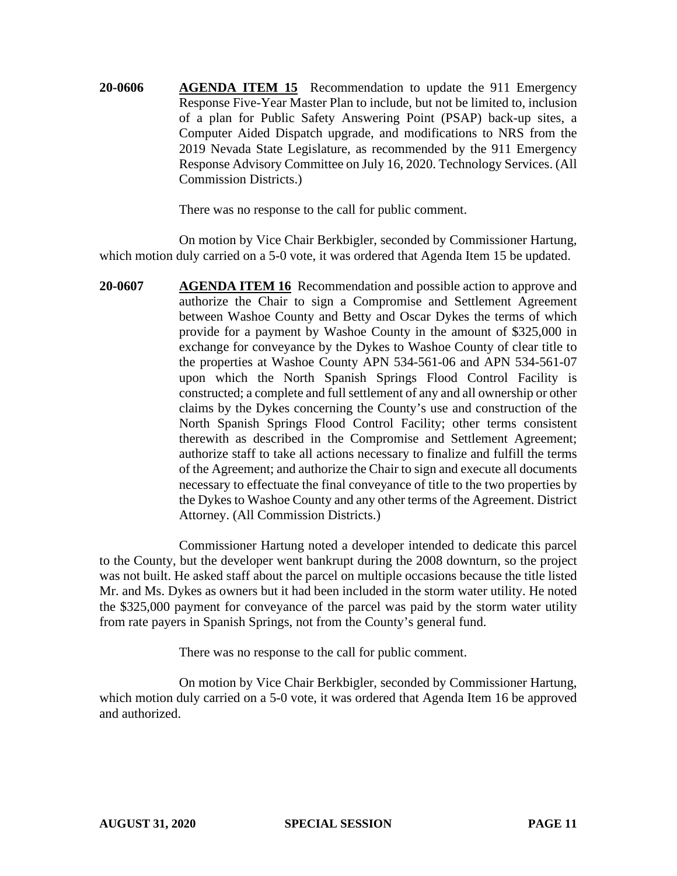**20-0606 AGENDA ITEM 15** Recommendation to update the 911 Emergency Response Five-Year Master Plan to include, but not be limited to, inclusion of a plan for Public Safety Answering Point (PSAP) back-up sites, a Computer Aided Dispatch upgrade, and modifications to NRS from the 2019 Nevada State Legislature, as recommended by the 911 Emergency Response Advisory Committee on July 16, 2020. Technology Services. (All Commission Districts.)

There was no response to the call for public comment.

On motion by Vice Chair Berkbigler, seconded by Commissioner Hartung, which motion duly carried on a 5-0 vote, it was ordered that Agenda Item 15 be updated.

**20-0607 AGENDA ITEM 16** Recommendation and possible action to approve and authorize the Chair to sign a Compromise and Settlement Agreement between Washoe County and Betty and Oscar Dykes the terms of which provide for a payment by Washoe County in the amount of \$325,000 in exchange for conveyance by the Dykes to Washoe County of clear title to the properties at Washoe County APN 534-561-06 and APN 534-561-07 upon which the North Spanish Springs Flood Control Facility is constructed; a complete and full settlement of any and all ownership or other claims by the Dykes concerning the County's use and construction of the North Spanish Springs Flood Control Facility; other terms consistent therewith as described in the Compromise and Settlement Agreement; authorize staff to take all actions necessary to finalize and fulfill the terms of the Agreement; and authorize the Chair to sign and execute all documents necessary to effectuate the final conveyance of title to the two properties by the Dykes to Washoe County and any other terms of the Agreement. District Attorney. (All Commission Districts.)

Commissioner Hartung noted a developer intended to dedicate this parcel to the County, but the developer went bankrupt during the 2008 downturn, so the project was not built. He asked staff about the parcel on multiple occasions because the title listed Mr. and Ms. Dykes as owners but it had been included in the storm water utility. He noted the \$325,000 payment for conveyance of the parcel was paid by the storm water utility from rate payers in Spanish Springs, not from the County's general fund.

There was no response to the call for public comment.

On motion by Vice Chair Berkbigler, seconded by Commissioner Hartung, which motion duly carried on a 5-0 vote, it was ordered that Agenda Item 16 be approved and authorized.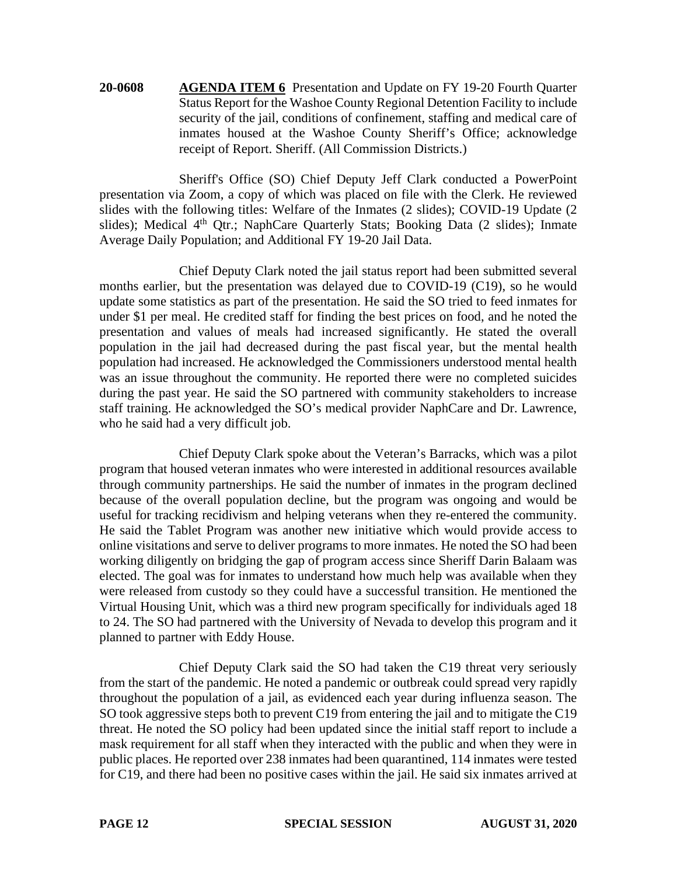**20-0608 AGENDA ITEM 6** Presentation and Update on FY 19-20 Fourth Quarter Status Report for the Washoe County Regional Detention Facility to include security of the jail, conditions of confinement, staffing and medical care of inmates housed at the Washoe County Sheriff's Office; acknowledge receipt of Report. Sheriff. (All Commission Districts.)

Sheriff's Office (SO) Chief Deputy Jeff Clark conducted a PowerPoint presentation via Zoom, a copy of which was placed on file with the Clerk. He reviewed slides with the following titles: Welfare of the Inmates (2 slides); COVID-19 Update (2 slides); Medical 4<sup>th</sup> Qtr.; NaphCare Quarterly Stats; Booking Data (2 slides); Inmate Average Daily Population; and Additional FY 19-20 Jail Data.

Chief Deputy Clark noted the jail status report had been submitted several months earlier, but the presentation was delayed due to COVID-19 (C19), so he would update some statistics as part of the presentation. He said the SO tried to feed inmates for under \$1 per meal. He credited staff for finding the best prices on food, and he noted the presentation and values of meals had increased significantly. He stated the overall population in the jail had decreased during the past fiscal year, but the mental health population had increased. He acknowledged the Commissioners understood mental health was an issue throughout the community. He reported there were no completed suicides during the past year. He said the SO partnered with community stakeholders to increase staff training. He acknowledged the SO's medical provider NaphCare and Dr. Lawrence, who he said had a very difficult job.

Chief Deputy Clark spoke about the Veteran's Barracks, which was a pilot program that housed veteran inmates who were interested in additional resources available through community partnerships. He said the number of inmates in the program declined because of the overall population decline, but the program was ongoing and would be useful for tracking recidivism and helping veterans when they re-entered the community. He said the Tablet Program was another new initiative which would provide access to online visitations and serve to deliver programs to more inmates. He noted the SO had been working diligently on bridging the gap of program access since Sheriff Darin Balaam was elected. The goal was for inmates to understand how much help was available when they were released from custody so they could have a successful transition. He mentioned the Virtual Housing Unit, which was a third new program specifically for individuals aged 18 to 24. The SO had partnered with the University of Nevada to develop this program and it planned to partner with Eddy House.

Chief Deputy Clark said the SO had taken the C19 threat very seriously from the start of the pandemic. He noted a pandemic or outbreak could spread very rapidly throughout the population of a jail, as evidenced each year during influenza season. The SO took aggressive steps both to prevent C19 from entering the jail and to mitigate the C19 threat. He noted the SO policy had been updated since the initial staff report to include a mask requirement for all staff when they interacted with the public and when they were in public places. He reported over 238 inmates had been quarantined, 114 inmates were tested for C19, and there had been no positive cases within the jail. He said six inmates arrived at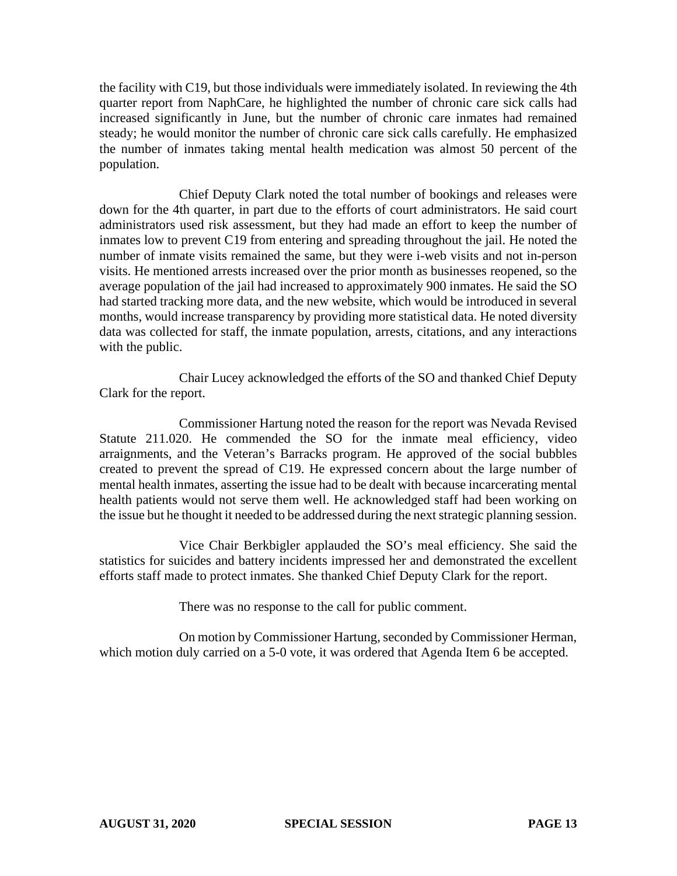the facility with C19, but those individuals were immediately isolated. In reviewing the 4th quarter report from NaphCare, he highlighted the number of chronic care sick calls had increased significantly in June, but the number of chronic care inmates had remained steady; he would monitor the number of chronic care sick calls carefully. He emphasized the number of inmates taking mental health medication was almost 50 percent of the population.

Chief Deputy Clark noted the total number of bookings and releases were down for the 4th quarter, in part due to the efforts of court administrators. He said court administrators used risk assessment, but they had made an effort to keep the number of inmates low to prevent C19 from entering and spreading throughout the jail. He noted the number of inmate visits remained the same, but they were i-web visits and not in-person visits. He mentioned arrests increased over the prior month as businesses reopened, so the average population of the jail had increased to approximately 900 inmates. He said the SO had started tracking more data, and the new website, which would be introduced in several months, would increase transparency by providing more statistical data. He noted diversity data was collected for staff, the inmate population, arrests, citations, and any interactions with the public.

Chair Lucey acknowledged the efforts of the SO and thanked Chief Deputy Clark for the report.

Commissioner Hartung noted the reason for the report was Nevada Revised Statute 211.020. He commended the SO for the inmate meal efficiency, video arraignments, and the Veteran's Barracks program. He approved of the social bubbles created to prevent the spread of C19. He expressed concern about the large number of mental health inmates, asserting the issue had to be dealt with because incarcerating mental health patients would not serve them well. He acknowledged staff had been working on the issue but he thought it needed to be addressed during the next strategic planning session.

Vice Chair Berkbigler applauded the SO's meal efficiency. She said the statistics for suicides and battery incidents impressed her and demonstrated the excellent efforts staff made to protect inmates. She thanked Chief Deputy Clark for the report.

There was no response to the call for public comment.

On motion by Commissioner Hartung, seconded by Commissioner Herman, which motion duly carried on a 5-0 vote, it was ordered that Agenda Item 6 be accepted.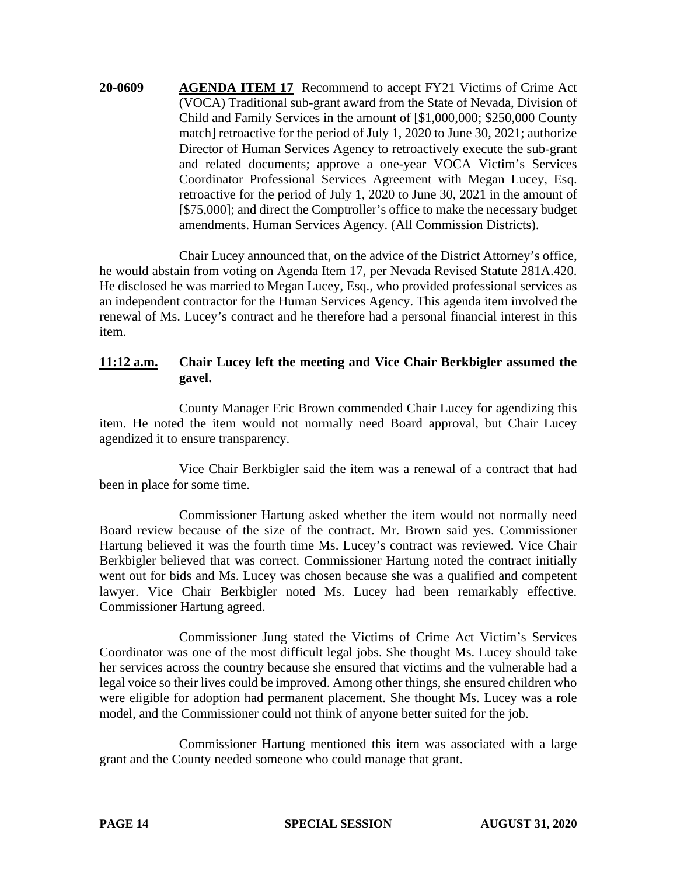**20-0609 AGENDA ITEM 17** Recommend to accept FY21 Victims of Crime Act (VOCA) Traditional sub-grant award from the State of Nevada, Division of Child and Family Services in the amount of [\$1,000,000; \$250,000 County match] retroactive for the period of July 1, 2020 to June 30, 2021; authorize Director of Human Services Agency to retroactively execute the sub-grant and related documents; approve a one-year VOCA Victim's Services Coordinator Professional Services Agreement with Megan Lucey, Esq. retroactive for the period of July 1, 2020 to June 30, 2021 in the amount of [ $$75,000$ ]; and direct the Comptroller's office to make the necessary budget amendments. Human Services Agency. (All Commission Districts).

Chair Lucey announced that, on the advice of the District Attorney's office, he would abstain from voting on Agenda Item 17, per Nevada Revised Statute 281A.420. He disclosed he was married to Megan Lucey, Esq., who provided professional services as an independent contractor for the Human Services Agency. This agenda item involved the renewal of Ms. Lucey's contract and he therefore had a personal financial interest in this item.

## **11:12 a.m. Chair Lucey left the meeting and Vice Chair Berkbigler assumed the gavel.**

County Manager Eric Brown commended Chair Lucey for agendizing this item. He noted the item would not normally need Board approval, but Chair Lucey agendized it to ensure transparency.

Vice Chair Berkbigler said the item was a renewal of a contract that had been in place for some time.

Commissioner Hartung asked whether the item would not normally need Board review because of the size of the contract. Mr. Brown said yes. Commissioner Hartung believed it was the fourth time Ms. Lucey's contract was reviewed. Vice Chair Berkbigler believed that was correct. Commissioner Hartung noted the contract initially went out for bids and Ms. Lucey was chosen because she was a qualified and competent lawyer. Vice Chair Berkbigler noted Ms. Lucey had been remarkably effective. Commissioner Hartung agreed.

Commissioner Jung stated the Victims of Crime Act Victim's Services Coordinator was one of the most difficult legal jobs. She thought Ms. Lucey should take her services across the country because she ensured that victims and the vulnerable had a legal voice so their lives could be improved. Among other things, she ensured children who were eligible for adoption had permanent placement. She thought Ms. Lucey was a role model, and the Commissioner could not think of anyone better suited for the job.

Commissioner Hartung mentioned this item was associated with a large grant and the County needed someone who could manage that grant.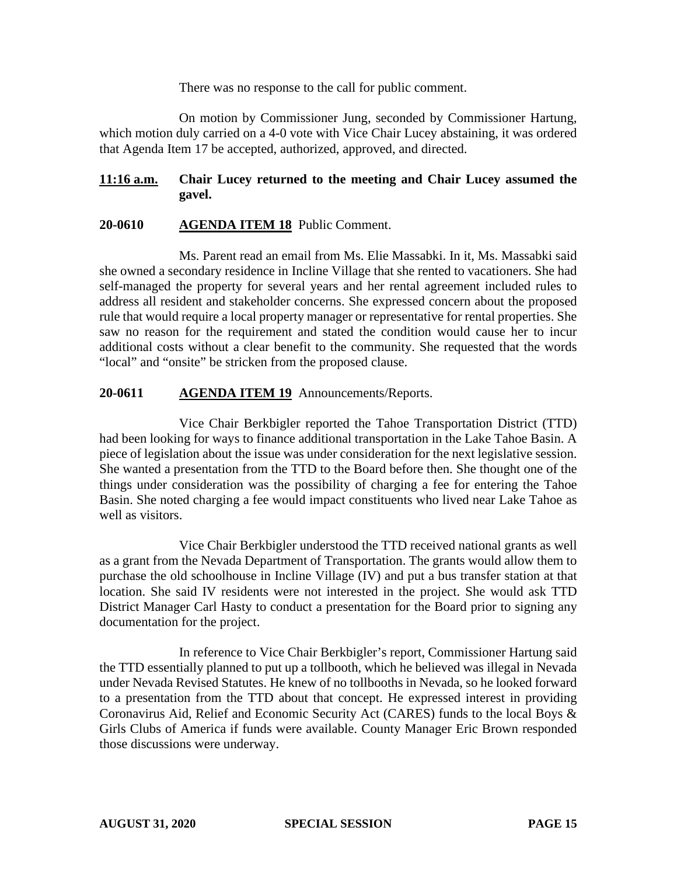There was no response to the call for public comment.

On motion by Commissioner Jung, seconded by Commissioner Hartung, which motion duly carried on a 4-0 vote with Vice Chair Lucey abstaining, it was ordered that Agenda Item 17 be accepted, authorized, approved, and directed.

# **11:16 a.m. Chair Lucey returned to the meeting and Chair Lucey assumed the gavel.**

# **20-0610 AGENDA ITEM 18** Public Comment.

Ms. Parent read an email from Ms. Elie Massabki. In it, Ms. Massabki said she owned a secondary residence in Incline Village that she rented to vacationers. She had self-managed the property for several years and her rental agreement included rules to address all resident and stakeholder concerns. She expressed concern about the proposed rule that would require a local property manager or representative for rental properties. She saw no reason for the requirement and stated the condition would cause her to incur additional costs without a clear benefit to the community. She requested that the words "local" and "onsite" be stricken from the proposed clause.

# **20-0611 AGENDA ITEM 19** Announcements/Reports.

Vice Chair Berkbigler reported the Tahoe Transportation District (TTD) had been looking for ways to finance additional transportation in the Lake Tahoe Basin. A piece of legislation about the issue was under consideration for the next legislative session. She wanted a presentation from the TTD to the Board before then. She thought one of the things under consideration was the possibility of charging a fee for entering the Tahoe Basin. She noted charging a fee would impact constituents who lived near Lake Tahoe as well as visitors.

Vice Chair Berkbigler understood the TTD received national grants as well as a grant from the Nevada Department of Transportation. The grants would allow them to purchase the old schoolhouse in Incline Village (IV) and put a bus transfer station at that location. She said IV residents were not interested in the project. She would ask TTD District Manager Carl Hasty to conduct a presentation for the Board prior to signing any documentation for the project.

In reference to Vice Chair Berkbigler's report, Commissioner Hartung said the TTD essentially planned to put up a tollbooth, which he believed was illegal in Nevada under Nevada Revised Statutes. He knew of no tollbooths in Nevada, so he looked forward to a presentation from the TTD about that concept. He expressed interest in providing Coronavirus Aid, Relief and Economic Security Act (CARES) funds to the local Boys & Girls Clubs of America if funds were available. County Manager Eric Brown responded those discussions were underway.